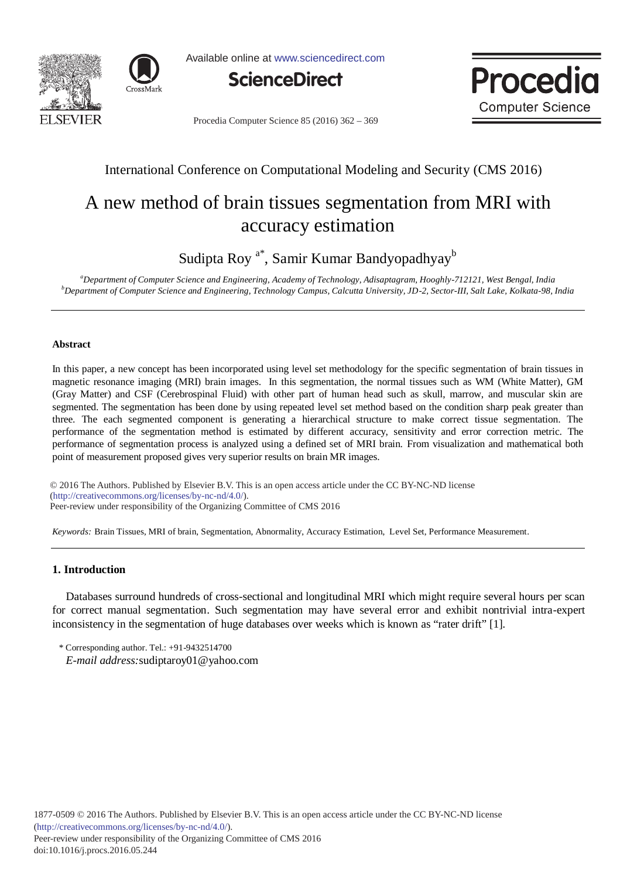



Available online at www.sciencedirect.com





Procedia Computer Science 85 (2016) 362 - 369

# International Conference on Computational Modeling and Security (CMS 2016)

# A new method of brain tissues segmentation from MRI with accuracy estimation

Sudipta Roy<sup>a\*</sup>, Samir Kumar Bandyopadhyay<sup>b</sup>

*a Department of Computer Science and Engineering, Academy of Technology, Adisaptagram, Hooghly-712121, West Bengal, India b Department of Computer Science and Engineering, Technology Campus, Calcutta University, JD-2, Sector-III, Salt Lake, Kolkata-98, India*

## **Abstract**

In this paper, a new concept has been incorporated using level set methodology for the specific segmentation of brain tissues in magnetic resonance imaging (MRI) brain images. In this segmentation, the normal tissues such as WM (White Matter), GM (Gray Matter) and CSF (Cerebrospinal Fluid) with other part of human head such as skull, marrow, and muscular skin are segmented. The segmentation has been done by using repeated level set method based on the condition sharp peak greater than three. The each segmented component is generating a hierarchical structure to make correct tissue segmentation. The performance of the segmentation method is estimated by different accuracy, sensitivity and error correction metric. The performance of segmentation process is analyzed using a defined set of MRI brain. From visualization and mathematical both point of measurement proposed gives very superior results on brain MR images.

© 2015 The Authors. Published by Elsevier B.V. © 2016 The Authors. Published by Elsevier B.V. This is an open access article under the CC BY-NC-ND license (http://creativecommons.org/licenses/by-nc-nd/4.0/). Peer-review under responsibility of the Organizing Committee of CMS 2016

*Keywords:* Brain Tissues, MRI of brain, Segmentation, Abnormality, Accuracy Estimation, Level Set, Performance Measurement.

# **1. Introduction**

Databases surround hundreds of cross-sectional and longitudinal MRI which might require several hours per scan for correct manual segmentation. Such segmentation may have several error and exhibit nontrivial intra-expert inconsistency in the segmentation of huge databases over weeks which is known as "rater drift" [1].

\* Corresponding author. Tel.: +91-9432514700 *E-mail address:*sudiptaroy01@yahoo.com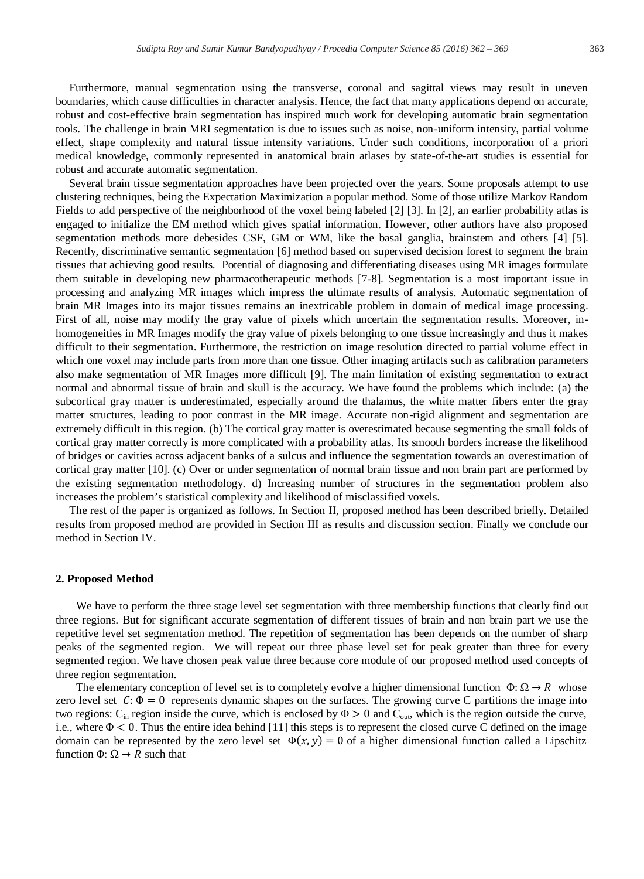Furthermore, manual segmentation using the transverse, coronal and sagittal views may result in uneven boundaries, which cause difficulties in character analysis. Hence, the fact that many applications depend on accurate, robust and cost-effective brain segmentation has inspired much work for developing automatic brain segmentation tools. The challenge in brain MRI segmentation is due to issues such as noise, non-uniform intensity, partial volume effect, shape complexity and natural tissue intensity variations. Under such conditions, incorporation of a priori medical knowledge, commonly represented in anatomical brain atlases by state-of-the-art studies is essential for robust and accurate automatic segmentation.

Several brain tissue segmentation approaches have been projected over the years. Some proposals attempt to use clustering techniques, being the Expectation Maximization a popular method. Some of those utilize Markov Random Fields to add perspective of the neighborhood of the voxel being labeled [2] [3]. In [2], an earlier probability atlas is engaged to initialize the EM method which gives spatial information. However, other authors have also proposed segmentation methods more debesides CSF, GM or WM, like the basal ganglia, brainstem and others [4] [5]. Recently, discriminative semantic segmentation [6] method based on supervised decision forest to segment the brain tissues that achieving good results. Potential of diagnosing and differentiating diseases using MR images formulate them suitable in developing new pharmacotherapeutic methods [7-8]. Segmentation is a most important issue in processing and analyzing MR images which impress the ultimate results of analysis. Automatic segmentation of brain MR Images into its major tissues remains an inextricable problem in domain of medical image processing. First of all, noise may modify the gray value of pixels which uncertain the segmentation results. Moreover, inhomogeneities in MR Images modify the gray value of pixels belonging to one tissue increasingly and thus it makes difficult to their segmentation. Furthermore, the restriction on image resolution directed to partial volume effect in which one voxel may include parts from more than one tissue. Other imaging artifacts such as calibration parameters also make segmentation of MR Images more difficult [9]. The main limitation of existing segmentation to extract normal and abnormal tissue of brain and skull is the accuracy. We have found the problems which include: (a) the subcortical gray matter is underestimated, especially around the thalamus, the white matter fibers enter the gray matter structures, leading to poor contrast in the MR image. Accurate non-rigid alignment and segmentation are extremely difficult in this region. (b) The cortical gray matter is overestimated because segmenting the small folds of cortical gray matter correctly is more complicated with a probability atlas. Its smooth borders increase the likelihood of bridges or cavities across adjacent banks of a sulcus and influence the segmentation towards an overestimation of cortical gray matter [10]. (c) Over or under segmentation of normal brain tissue and non brain part are performed by the existing segmentation methodology. d) Increasing number of structures in the segmentation problem also increases the problem's statistical complexity and likelihood of misclassified voxels.

The rest of the paper is organized as follows. In Section II, proposed method has been described briefly. Detailed results from proposed method are provided in Section III as results and discussion section. Finally we conclude our method in Section IV.

#### **2. Proposed Method**

We have to perform the three stage level set segmentation with three membership functions that clearly find out three regions. But for significant accurate segmentation of different tissues of brain and non brain part we use the repetitive level set segmentation method. The repetition of segmentation has been depends on the number of sharp peaks of the segmented region. We will repeat our three phase level set for peak greater than three for every segmented region. We have chosen peak value three because core module of our proposed method used concepts of three region segmentation.

The elementary conception of level set is to completely evolve a higher dimensional function  $\Phi: \Omega \to \mathbb{R}$  whose zero level set  $C: \Phi = 0$  represents dynamic shapes on the surfaces. The growing curve C partitions the image into two regions: C<sub>in</sub> region inside the curve, which is enclosed by  $\Phi > 0$  and C<sub>out</sub>, which is the region outside the curve, i.e., where  $\Phi < 0$ . Thus the entire idea behind [11] this steps is to represent the closed curve C defined on the image domain can be represented by the zero level set  $\Phi(x, y) = 0$  of a higher dimensional function called a Lipschitz function  $\Phi$ :  $\Omega \rightarrow R$  such that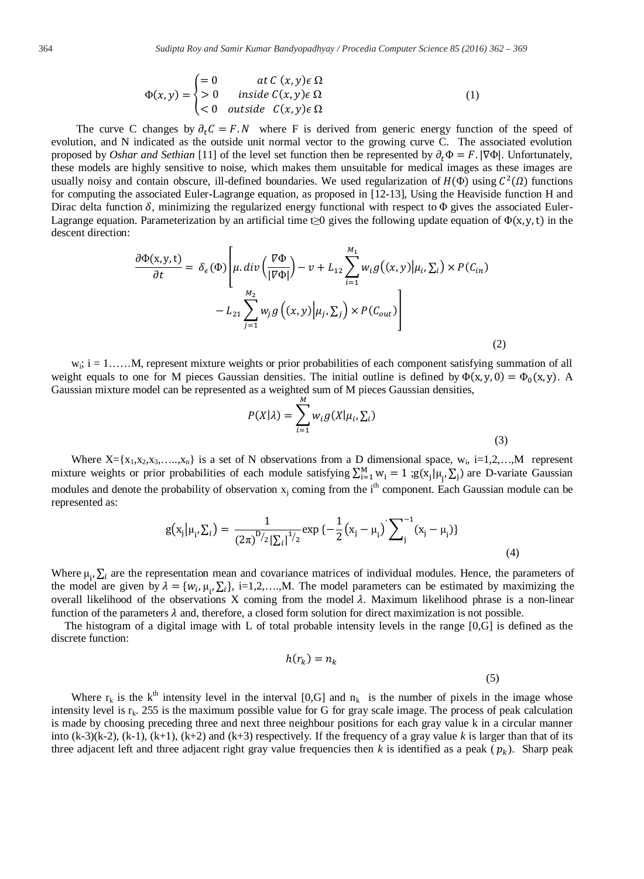$$
\Phi(x, y) = \begin{cases}\n= 0 & at \ C(x, y) \in \Omega \\
> 0 & inside \ C(x, y) \in \Omega \\
< 0 & outside \ C(x, y) \in \Omega\n\end{cases}
$$
\n(1)

The curve C changes by  $\partial_t C = F \cdot N$  where F is derived from generic energy function of the speed of evolution, and N indicated as the outside unit normal vector to the growing curve C. The associated evolution proposed by *Oshar and Sethian* [11] of the level set function then be represented by  $\partial_t \Phi = F$ .  $|\nabla \Phi|$ . Unfortunately, these models are highly sensitive to noise, which makes them unsuitable for medical images as these images are usually noisy and contain obscure, ill-defined boundaries. We used regularization of  $H(\Phi)$  using  $\mathcal{C}^2(\Omega)$  functions for computing the associated Euler-Lagrange equation, as proposed in [12-13], Using the Heaviside function H and Dirac delta function  $\delta$ , minimizing the regularized energy functional with respect to  $\Phi$  gives the associated Euler-Lagrange equation. Parameterization by an artificial time t≥0 gives the following update equation of  $\Phi(x, y, t)$  in the descent direction:

$$
\frac{\partial \Phi(x, y, t)}{\partial t} = \delta_{\epsilon}(\Phi) \left[ \mu \cdot div \left( \frac{\nabla \Phi}{|\nabla \Phi|} \right) - \nu + L_{12} \sum_{i=1}^{M_1} w_i g(x, y) | \mu_i, \Sigma_i \right] \times P(C_{in}) - L_{21} \sum_{j=1}^{M_2} w_j g(x, y) | \mu_j, \Sigma_j \right] \times P(C_{out})
$$
\n(2)

 $w_i$ ;  $i = 1, \ldots, M$ , represent mixture weights or prior probabilities of each component satisfying summation of all weight equals to one for M pieces Gaussian densities. The initial outline is defined by  $\Phi(x, y, 0) = \Phi_0(x, y)$ . A Gaussian mixture model can be represented as a weighted sum of M pieces Gaussian densities,

$$
P(X|\lambda) = \sum_{i=1}^{M} w_i g(X|\mu_i, \Sigma_i)
$$
\n(3)

Where  $X = \{x_1, x_2, x_3, \ldots, x_n\}$  is a set of N observations from a D dimensional space, w<sub>i</sub>, i=1,2,...,M represent mixture weights or prior probabilities of each module satisfying  $\sum_{i=1}^{M} w_i = 1$ ;  $g(x_j | \mu_j, \sum_j)$  are D-variate Gaussian modules and denote the probability of observation  $x_i$  coming from the i<sup>th</sup> component. Each Gaussian module can be represented as:

$$
g(x_j|\mu_i, \Sigma_i) = \frac{1}{(2\pi)^{D/2}|\Sigma_i|^{1/2}} \exp\{-\frac{1}{2}(x_j - \mu_i)\sum_j^{-1}(x_j - \mu_i)\}\tag{4}
$$

Where  $\mu_i$ ,  $\Sigma_i$  are the representation mean and covariance matrices of individual modules. Hence, the parameters of the model are given by  $\lambda = \{w_i, \mu_i, \sum_i\}$ , i=1,2,...,M. The model parameters can be estimated by maximizing the overall likelihood of the observations X coming from the model  $\lambda$ . Maximum likelihood phrase is a non-linear function of the parameters  $\lambda$  and, therefore, a closed form solution for direct maximization is not possible.

The histogram of a digital image with L of total probable intensity levels in the range [0,G] is defined as the discrete function:

$$
h(r_k) = n_k \tag{5}
$$

Where  $r_k$  is the k<sup>th</sup> intensity level in the interval [0,G] and  $n_k$  is the number of pixels in the image whose intensity level is  $r_k$ . 255 is the maximum possible value for G for gray scale image. The process of peak calculation is made by choosing preceding three and next three neighbour positions for each gray value k in a circular manner into  $(k-3)(k-2)$ ,  $(k-1)$ ,  $(k+1)$ ,  $(k+2)$  and  $(k+3)$  respectively. If the frequency of a gray value k is larger than that of its three adjacent left and three adjacent right gray value frequencies then  $k$  is identified as a peak ( $p_k$ ). Sharp peak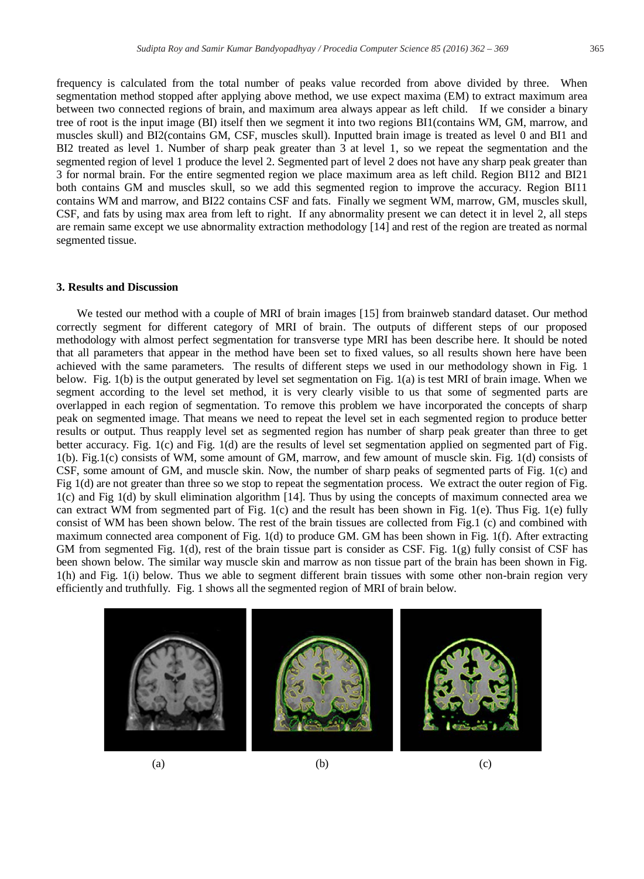frequency is calculated from the total number of peaks value recorded from above divided by three. When segmentation method stopped after applying above method, we use expect maxima (EM) to extract maximum area between two connected regions of brain, and maximum area always appear as left child. If we consider a binary tree of root is the input image (BI) itself then we segment it into two regions BI1(contains WM, GM, marrow, and muscles skull) and BI2(contains GM, CSF, muscles skull). Inputted brain image is treated as level 0 and BI1 and BI2 treated as level 1. Number of sharp peak greater than 3 at level 1, so we repeat the segmentation and the segmented region of level 1 produce the level 2. Segmented part of level 2 does not have any sharp peak greater than 3 for normal brain. For the entire segmented region we place maximum area as left child. Region BI12 and BI21 both contains GM and muscles skull, so we add this segmented region to improve the accuracy. Region BI11 contains WM and marrow, and BI22 contains CSF and fats. Finally we segment WM, marrow, GM, muscles skull, CSF, and fats by using max area from left to right. If any abnormality present we can detect it in level 2, all steps are remain same except we use abnormality extraction methodology [14] and rest of the region are treated as normal segmented tissue.

#### **3. Results and Discussion**

We tested our method with a couple of MRI of brain images [15] from brainweb standard dataset. Our method correctly segment for different category of MRI of brain. The outputs of different steps of our proposed methodology with almost perfect segmentation for transverse type MRI has been describe here. It should be noted that all parameters that appear in the method have been set to fixed values, so all results shown here have been achieved with the same parameters. The results of different steps we used in our methodology shown in Fig. 1 below. Fig. 1(b) is the output generated by level set segmentation on Fig. 1(a) is test MRI of brain image. When we segment according to the level set method, it is very clearly visible to us that some of segmented parts are overlapped in each region of segmentation. To remove this problem we have incorporated the concepts of sharp peak on segmented image. That means we need to repeat the level set in each segmented region to produce better results or output. Thus reapply level set as segmented region has number of sharp peak greater than three to get better accuracy. Fig. 1(c) and Fig. 1(d) are the results of level set segmentation applied on segmented part of Fig. 1(b). Fig.1(c) consists of WM, some amount of GM, marrow, and few amount of muscle skin. Fig. 1(d) consists of CSF, some amount of GM, and muscle skin. Now, the number of sharp peaks of segmented parts of Fig. 1(c) and Fig 1(d) are not greater than three so we stop to repeat the segmentation process. We extract the outer region of Fig. 1(c) and Fig 1(d) by skull elimination algorithm [14]. Thus by using the concepts of maximum connected area we can extract WM from segmented part of Fig. 1(c) and the result has been shown in Fig. 1(e). Thus Fig. 1(e) fully consist of WM has been shown below. The rest of the brain tissues are collected from Fig.1 (c) and combined with maximum connected area component of Fig. 1(d) to produce GM. GM has been shown in Fig. 1(f). After extracting GM from segmented Fig. 1(d), rest of the brain tissue part is consider as CSF. Fig. 1(g) fully consist of CSF has been shown below. The similar way muscle skin and marrow as non tissue part of the brain has been shown in Fig. 1(h) and Fig. 1(i) below. Thus we able to segment different brain tissues with some other non-brain region very efficiently and truthfully. Fig. 1 shows all the segmented region of MRI of brain below.

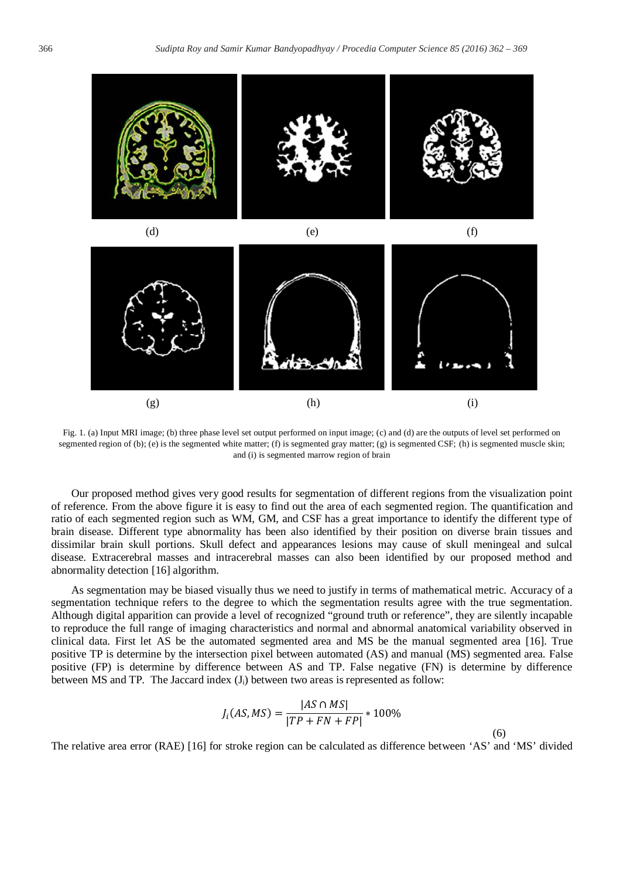

Fig. 1. (a) Input MRI image; (b) three phase level set output performed on input image; (c) and (d) are the outputs of level set performed on segmented region of (b); (e) is the segmented white matter; (f) is segmented gray matter; (g) is segmented CSF; (h) is segmented muscle skin; and (i) is segmented marrow region of brain

Our proposed method gives very good results for segmentation of different regions from the visualization point of reference. From the above figure it is easy to find out the area of each segmented region. The quantification and ratio of each segmented region such as WM, GM, and CSF has a great importance to identify the different type of brain disease. Different type abnormality has been also identified by their position on diverse brain tissues and dissimilar brain skull portions. Skull defect and appearances lesions may cause of skull meningeal and sulcal disease. Extracerebral masses and intracerebral masses can also been identified by our proposed method and abnormality detection [16] algorithm.

As segmentation may be biased visually thus we need to justify in terms of mathematical metric. Accuracy of a segmentation technique refers to the degree to which the segmentation results agree with the true segmentation. Although digital apparition can provide a level of recognized "ground truth or reference", they are silently incapable to reproduce the full range of imaging characteristics and normal and abnormal anatomical variability observed in clinical data. First let AS be the automated segmented area and MS be the manual segmented area [16]. True positive TP is determine by the intersection pixel between automated (AS) and manual (MS) segmented area. False positive (FP) is determine by difference between AS and TP. False negative (FN) is determine by difference between MS and TP. The Jaccard index  $(J_i)$  between two areas is represented as follow:

$$
J_i(AS, MS) = \frac{|AS \cap MS|}{|TP + FN + FP|} * 100\%
$$

 $(6)$ 

The relative area error (RAE) [16] for stroke region can be calculated as difference between 'AS' and 'MS' divided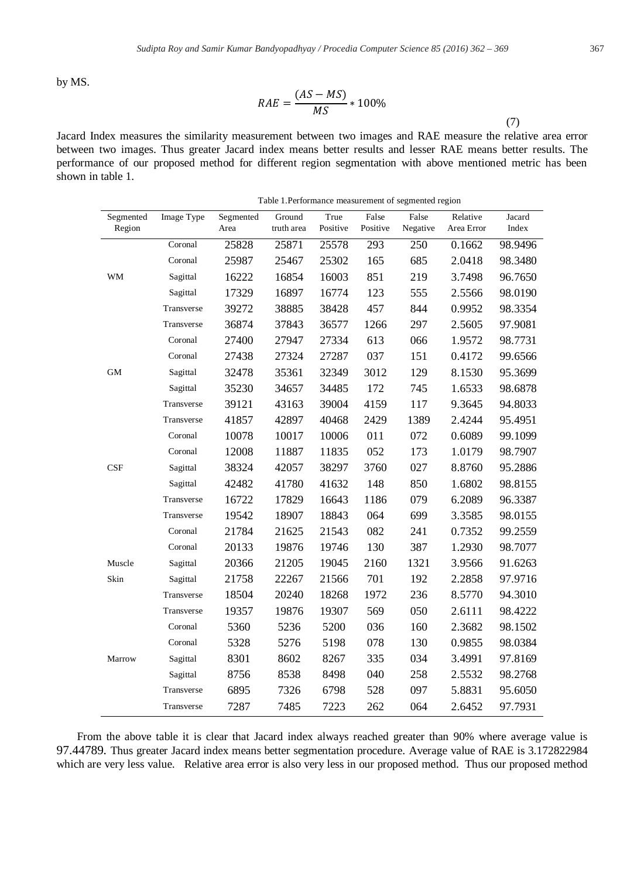by MS.

$$
RAE = \frac{(AS - MS)}{MS} \times 100\%
$$
\n<sup>(7)</sup>

Jacard Index measures the similarity measurement between two images and RAE measure the relative area error between two images. Thus greater Jacard index means better results and lesser RAE means better results. The performance of our proposed method for different region segmentation with above mentioned metric has been shown in table 1.

|                     |            | Table 1. Performance measurement of segmented region |                      |                  |                   |                   |                        |                 |
|---------------------|------------|------------------------------------------------------|----------------------|------------------|-------------------|-------------------|------------------------|-----------------|
| Segmented<br>Region | Image Type | Segmented<br>Area                                    | Ground<br>truth area | True<br>Positive | False<br>Positive | False<br>Negative | Relative<br>Area Error | Jacard<br>Index |
|                     | Coronal    | 25828                                                | 25871                | 25578            | 293               | 250               | 0.1662                 | 98.9496         |
|                     | Coronal    | 25987                                                | 25467                | 25302            | 165               | 685               | 2.0418                 | 98.3480         |
| WM                  | Sagittal   | 16222                                                | 16854                | 16003            | 851               | 219               | 3.7498                 | 96.7650         |
|                     | Sagittal   | 17329                                                | 16897                | 16774            | 123               | 555               | 2.5566                 | 98.0190         |
|                     | Transverse | 39272                                                | 38885                | 38428            | 457               | 844               | 0.9952                 | 98.3354         |
|                     | Transverse | 36874                                                | 37843                | 36577            | 1266              | 297               | 2.5605                 | 97.9081         |
|                     | Coronal    | 27400                                                | 27947                | 27334            | 613               | 066               | 1.9572                 | 98.7731         |
|                     | Coronal    | 27438                                                | 27324                | 27287            | 037               | 151               | 0.4172                 | 99.6566         |
| <b>GM</b>           | Sagittal   | 32478                                                | 35361                | 32349            | 3012              | 129               | 8.1530                 | 95.3699         |
|                     | Sagittal   | 35230                                                | 34657                | 34485            | 172               | 745               | 1.6533                 | 98.6878         |
|                     | Transverse | 39121                                                | 43163                | 39004            | 4159              | 117               | 9.3645                 | 94.8033         |
|                     | Transverse | 41857                                                | 42897                | 40468            | 2429              | 1389              | 2.4244                 | 95.4951         |
|                     | Coronal    | 10078                                                | 10017                | 10006            | 011               | 072               | 0.6089                 | 99.1099         |
|                     | Coronal    | 12008                                                | 11887                | 11835            | 052               | 173               | 1.0179                 | 98.7907         |
| CSF                 | Sagittal   | 38324                                                | 42057                | 38297            | 3760              | 027               | 8.8760                 | 95.2886         |
|                     | Sagittal   | 42482                                                | 41780                | 41632            | 148               | 850               | 1.6802                 | 98.8155         |
|                     | Transverse | 16722                                                | 17829                | 16643            | 1186              | 079               | 6.2089                 | 96.3387         |
|                     | Transverse | 19542                                                | 18907                | 18843            | 064               | 699               | 3.3585                 | 98.0155         |
|                     | Coronal    | 21784                                                | 21625                | 21543            | 082               | 241               | 0.7352                 | 99.2559         |
|                     | Coronal    | 20133                                                | 19876                | 19746            | 130               | 387               | 1.2930                 | 98.7077         |
| Muscle              | Sagittal   | 20366                                                | 21205                | 19045            | 2160              | 1321              | 3.9566                 | 91.6263         |
| Skin                | Sagittal   | 21758                                                | 22267                | 21566            | 701               | 192               | 2.2858                 | 97.9716         |
|                     | Transverse | 18504                                                | 20240                | 18268            | 1972              | 236               | 8.5770                 | 94.3010         |
|                     | Transverse | 19357                                                | 19876                | 19307            | 569               | 050               | 2.6111                 | 98.4222         |
|                     | Coronal    | 5360                                                 | 5236                 | 5200             | 036               | 160               | 2.3682                 | 98.1502         |
|                     | Coronal    | 5328                                                 | 5276                 | 5198             | 078               | 130               | 0.9855                 | 98.0384         |
| Marrow              | Sagittal   | 8301                                                 | 8602                 | 8267             | 335               | 034               | 3.4991                 | 97.8169         |
|                     | Sagittal   | 8756                                                 | 8538                 | 8498             | 040               | 258               | 2.5532                 | 98.2768         |
|                     | Transverse | 6895                                                 | 7326                 | 6798             | 528               | 097               | 5.8831                 | 95.6050         |
|                     | Transverse | 7287                                                 | 7485                 | 7223             | 262               | 064               | 2.6452                 | 97.7931         |

From the above table it is clear that Jacard index always reached greater than 90% where average value is 97.44789. Thus greater Jacard index means better segmentation procedure. Average value of RAE is 3.172822984 which are very less value. Relative area error is also very less in our proposed method. Thus our proposed method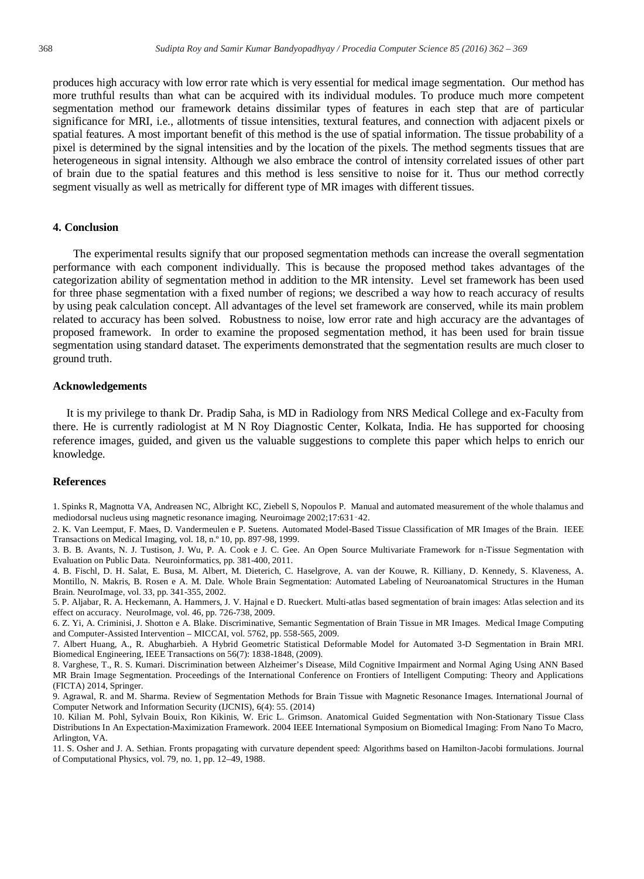produces high accuracy with low error rate which is very essential for medical image segmentation. Our method has more truthful results than what can be acquired with its individual modules. To produce much more competent segmentation method our framework detains dissimilar types of features in each step that are of particular significance for MRI, i.e., allotments of tissue intensities, textural features, and connection with adjacent pixels or spatial features. A most important benefit of this method is the use of spatial information. The tissue probability of a pixel is determined by the signal intensities and by the location of the pixels. The method segments tissues that are heterogeneous in signal intensity. Although we also embrace the control of intensity correlated issues of other part of brain due to the spatial features and this method is less sensitive to noise for it. Thus our method correctly segment visually as well as metrically for different type of MR images with different tissues.

### **4. Conclusion**

The experimental results signify that our proposed segmentation methods can increase the overall segmentation performance with each component individually. This is because the proposed method takes advantages of the categorization ability of segmentation method in addition to the MR intensity. Level set framework has been used for three phase segmentation with a fixed number of regions; we described a way how to reach accuracy of results by using peak calculation concept. All advantages of the level set framework are conserved, while its main problem related to accuracy has been solved. Robustness to noise, low error rate and high accuracy are the advantages of proposed framework. In order to examine the proposed segmentation method, it has been used for brain tissue segmentation using standard dataset. The experiments demonstrated that the segmentation results are much closer to ground truth.

#### **Acknowledgements**

It is my privilege to thank Dr. Pradip Saha, is MD in Radiology from NRS Medical College and ex-Faculty from there. He is currently radiologist at M N Roy Diagnostic Center, Kolkata, India. He has supported for choosing reference images, guided, and given us the valuable suggestions to complete this paper which helps to enrich our knowledge.

# **References**

1. Spinks R, Magnotta VA, Andreasen NC, Albright KC, Ziebell S, Nopoulos P. Manual and automated measurement of the whole thalamus and mediodorsal nucleus using magnetic resonance imaging. Neuroimage 2002;17:631-42.

2. K. Van Leemput, F. Maes, D. Vandermeulen e P. Suetens. Automated Model-Based Tissue Classification of MR Images of the Brain. IEEE Transactions on Medical Imaging, vol. 18, n.º 10, pp. 897-98, 1999.

3. B. B. Avants, N. J. Tustison, J. Wu, P. A. Cook e J. C. Gee. An Open Source Multivariate Framework for n-Tissue Segmentation with Evaluation on Public Data. Neuroinformatics, pp. 381-400, 2011.

4. B. Fischl, D. H. Salat, E. Busa, M. Albert, M. Dieterich, C. Haselgrove, A. van der Kouwe, R. Killiany, D. Kennedy, S. Klaveness, A. Montillo, N. Makris, B. Rosen e A. M. Dale. Whole Brain Segmentation: Automated Labeling of Neuroanatomical Structures in the Human Brain. NeuroImage, vol. 33, pp. 341-355, 2002.

5. P. Aljabar, R. A. Heckemann, A. Hammers, J. V. Hajnal e D. Rueckert. Multi-atlas based segmentation of brain images: Atlas selection and its effect on accuracy. NeuroImage, vol. 46, pp. 726-738, 2009.

6. Z. Yi, A. Criminisi, J. Shotton e A. Blake. Discriminative, Semantic Segmentation of Brain Tissue in MR Images. Medical Image Computing and Computer-Assisted Intervention – MICCAI, vol. 5762, pp. 558-565, 2009.

7. Albert Huang, A., R. Abugharbieh. A Hybrid Geometric Statistical Deformable Model for Automated 3-D Segmentation in Brain MRI. Biomedical Engineering, IEEE Transactions on 56(7): 1838-1848, (2009).

8. Varghese, T., R. S. Kumari. Discrimination between Alzheimer's Disease, Mild Cognitive Impairment and Normal Aging Using ANN Based MR Brain Image Segmentation. Proceedings of the International Conference on Frontiers of Intelligent Computing: Theory and Applications (FICTA) 2014, Springer.

9. Agrawal, R. and M. Sharma. Review of Segmentation Methods for Brain Tissue with Magnetic Resonance Images. International Journal of Computer Network and Information Security (IJCNIS), 6(4): 55. (2014)

10. Kilian M. Pohl, Sylvain Bouix, Ron Kikinis, W. Eric L. Grimson. Anatomical Guided Segmentation with Non-Stationary Tissue Class Distributions In An Expectation-Maximization Framework. 2004 IEEE International Symposium on Biomedical Imaging: From Nano To Macro, Arlington, VA.

11. S. Osher and J. A. Sethian. Fronts propagating with curvature dependent speed: Algorithms based on Hamilton-Jacobi formulations. Journal of Computational Physics, vol. 79, no. 1, pp. 12–49, 1988.